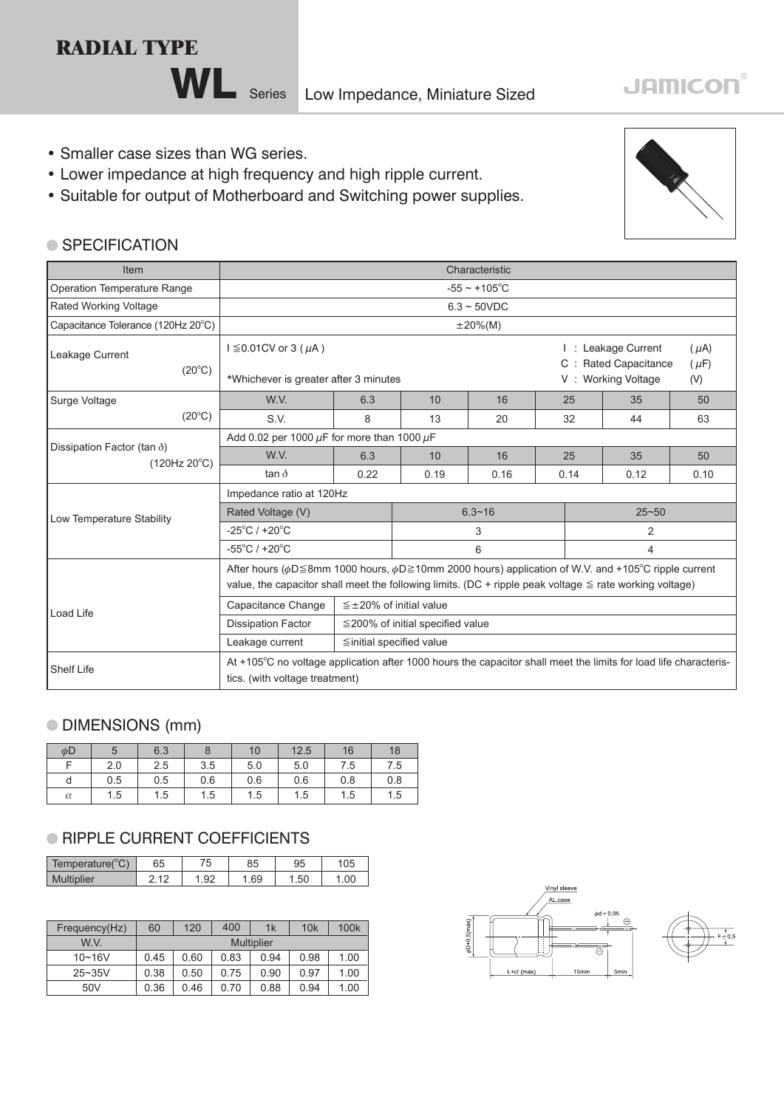**RADIAL TYPE**

WL Series Low Impedance, Miniature Sized

### **JAMICON**

- Smaller case sizes than WG series.
- Lower impedance at high frequency and high ripple current.
- Suitable for output of Motherboard and Switching power supplies.

#### ● SPECIFICATION

| Item                                                        |                                                                                                                                                                                                                                            |                                  |                                                                      | Characteristic     |      |                    |      |  |  |  |
|-------------------------------------------------------------|--------------------------------------------------------------------------------------------------------------------------------------------------------------------------------------------------------------------------------------------|----------------------------------|----------------------------------------------------------------------|--------------------|------|--------------------|------|--|--|--|
| Operation Temperature Range                                 |                                                                                                                                                                                                                                            |                                  |                                                                      | $-55 \sim +105$ °C |      |                    |      |  |  |  |
| <b>Rated Working Voltage</b>                                |                                                                                                                                                                                                                                            |                                  |                                                                      | $6.3 \sim 50$ VDC  |      |                    |      |  |  |  |
| Capacitance Tolerance (120Hz 20°C)                          |                                                                                                                                                                                                                                            |                                  |                                                                      | $\pm 20\%$ (M)     |      |                    |      |  |  |  |
| Leakage Current<br>$(20^{\circ}C)$                          | $I \leq 0.01$ CV or 3 ( $\mu$ A)                                                                                                                                                                                                           |                                  | : Leakage Current<br>$(\mu A)$<br>C : Rated Capacitance<br>$(\mu F)$ |                    |      |                    |      |  |  |  |
|                                                             | *Whichever is greater after 3 minutes                                                                                                                                                                                                      |                                  |                                                                      |                    |      | V: Working Voltage | (V)  |  |  |  |
| Surge Voltage                                               | W.V.                                                                                                                                                                                                                                       | 6.3                              | 10                                                                   | 16                 | 25   | 35                 | 50   |  |  |  |
| $(20^{\circ}C)$                                             | S.V.                                                                                                                                                                                                                                       | 8                                | 13                                                                   | 20                 | 32   | 44                 | 63   |  |  |  |
|                                                             | Add 0.02 per 1000 $\mu$ F for more than 1000 $\mu$ F                                                                                                                                                                                       |                                  |                                                                      |                    |      |                    |      |  |  |  |
| Dissipation Factor (tan $\delta$ )<br>$(120Hz 20^{\circ}C)$ | W.V.                                                                                                                                                                                                                                       | 6.3                              | 10                                                                   | 16                 | 25   | 35                 | 50   |  |  |  |
|                                                             | tan $\delta$                                                                                                                                                                                                                               | 0.22                             | 0.19                                                                 | 0.16               | 0.14 | 0.12               | 0.10 |  |  |  |
|                                                             | Impedance ratio at 120Hz                                                                                                                                                                                                                   |                                  |                                                                      |                    |      |                    |      |  |  |  |
| Low Temperature Stability                                   | Rated Voltage (V)                                                                                                                                                                                                                          |                                  |                                                                      | $6.3 - 16$         |      | $25 - 50$          |      |  |  |  |
|                                                             | $-25^{\circ}$ C / +20 $^{\circ}$ C                                                                                                                                                                                                         |                                  |                                                                      | 3                  |      | 2                  |      |  |  |  |
|                                                             | $-55^{\circ}$ C / +20 $^{\circ}$ C                                                                                                                                                                                                         |                                  |                                                                      | 6                  |      | 4                  |      |  |  |  |
|                                                             | After hours ( $\phi$ D 	imes 8mm 1000 hours, $\phi$ D 	imes 10mm 2000 hours) application of W.V. and +105°C ripple current<br>value, the capacitor shall meet the following limits. (DC + ripple peak voltage $\leq$ rate working voltage) |                                  |                                                                      |                    |      |                    |      |  |  |  |
| Load Life                                                   | Capacitance Change                                                                                                                                                                                                                         | $\leq \pm 20\%$ of initial value |                                                                      |                    |      |                    |      |  |  |  |
|                                                             | <b>Dissipation Factor</b>                                                                                                                                                                                                                  |                                  | $\leq$ 200% of initial specified value                               |                    |      |                    |      |  |  |  |
|                                                             | Leakage current                                                                                                                                                                                                                            | ≦initial specified value         |                                                                      |                    |      |                    |      |  |  |  |
| Shelf Life                                                  | At +105°C no voltage application after 1000 hours the capacitor shall meet the limits for load life characteris-<br>tics. (with voltage treatment)                                                                                         |                                  |                                                                      |                    |      |                    |      |  |  |  |

### DIMENSIONS (mm)

| $\phi$ D | 5   | 6.3 | 8   | 10  | 12.5 | 16  | 18  |
|----------|-----|-----|-----|-----|------|-----|-----|
| −        | 2.0 | 2.5 | 3.5 | 5.0 | 5.0  | 7.5 | 7.5 |
| d        | 0.5 | 0.5 | 0.6 | 0.6 | 0.6  | 0.8 | 0.8 |
| $\alpha$ | 1.5 | 1.5 | 1.5 | 1.5 | 1.5  | 1.5 | 1.5 |

#### **RIPPLE CURRENT COEFFICIENTS**

| $10^{\circ}$<br>Temperature( | 65     | ◡            | 85  | 95   | 05  |
|------------------------------|--------|--------------|-----|------|-----|
| <b>Multiplier</b>            | $\sim$ | ۵٢<br>$\sim$ | .69 | l.50 | .00 |

| Frequency(Hz)   | 60                | 120  | 400  | 1k   | 10k  | 100 <sub>k</sub> |  |
|-----------------|-------------------|------|------|------|------|------------------|--|
| W.V.            | <b>Multiplier</b> |      |      |      |      |                  |  |
| $10 - 16V$      | 0.45              | 0.60 | 0.83 | 0.94 | 0.98 | 1.00             |  |
| $25 - 35V$      | 0.38              | 0.50 | 0.75 | 0.90 | 0.97 | 1.00             |  |
| 50 <sub>V</sub> | 0.36              | 0.46 | 0.70 | 0.88 | 0.94 | 1.00             |  |



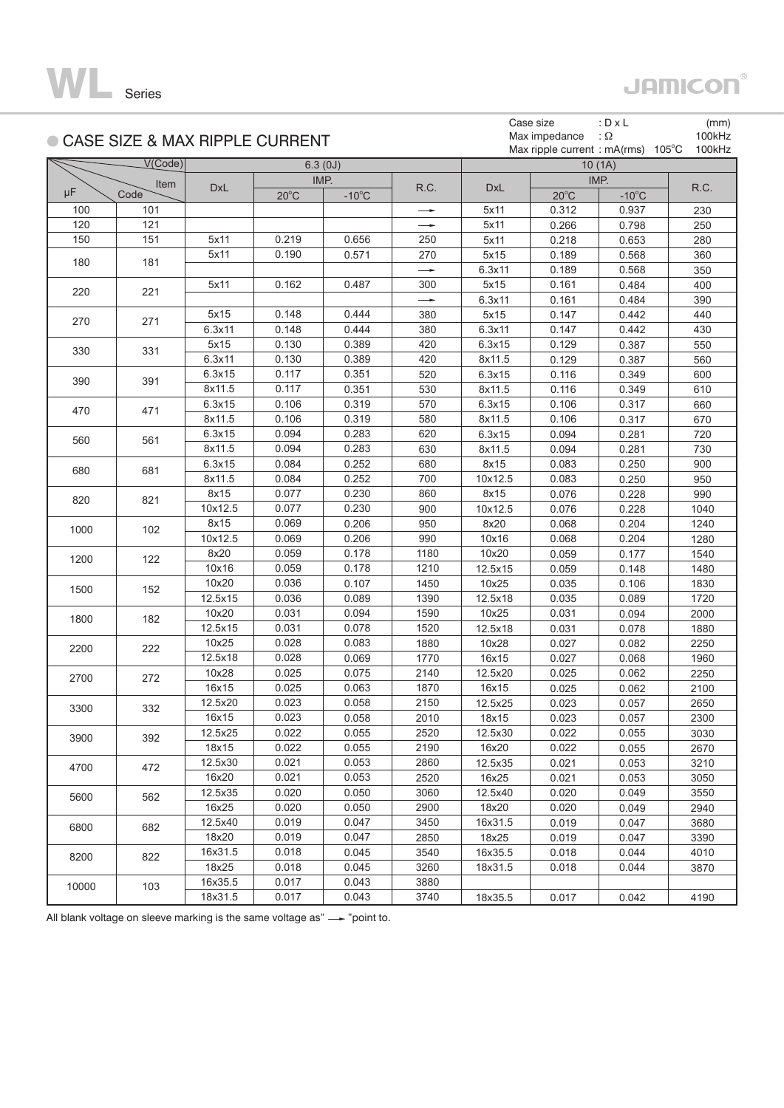

# **JAMICON®**

| ● CASE SIZE & MAX RIPPLE CURRENT |         |            |                |                 |               |            | Case size<br>Max impedance<br>Max ripple current : $mA(rms)$ 105°C | : $D \times L$<br>$\Omega$ : | (mm)<br>100kHz<br>100kHz |
|----------------------------------|---------|------------|----------------|-----------------|---------------|------------|--------------------------------------------------------------------|------------------------------|--------------------------|
|                                  | V(Code) |            |                | 6.3(0J)         |               |            |                                                                    | 10(1A)                       |                          |
|                                  | Item    |            |                | IMP.            |               |            |                                                                    | IMP.                         |                          |
| μF                               | Code    | <b>DxL</b> | $20^{\circ}$ C | $-10^{\circ}$ C | R.C.          | <b>DxL</b> | $20^{\circ}$ C                                                     | $-10^{\circ}$ C              | R.C.                     |
| 100                              | 101     |            |                |                 | $\rightarrow$ | 5x11       | 0.312                                                              | 0.937                        | 230                      |
| 120                              | 121     |            |                |                 |               | 5x11       | 0.266                                                              | 0.798                        | 250                      |
| 150                              | 151     | 5x11       | 0.219          | 0.656           | 250           | 5x11       | 0.218                                                              | 0.653                        | 280                      |
| 180                              | 181     | 5x11       | 0.190          | 0.571           | 270           | 5x15       | 0.189                                                              | 0.568                        | 360                      |
|                                  |         |            |                |                 | $\rightarrow$ | 6.3x11     | 0.189                                                              | 0.568                        | 350                      |
| 220                              | 221     | 5x11       | 0.162          | 0.487           | 300           | 5x15       | 0.161                                                              | 0.484                        | 400                      |
|                                  |         |            |                |                 | $\rightarrow$ | 6.3x11     | 0.161                                                              | 0.484                        | 390                      |
| 270                              | 271     | 5x15       | 0.148          | 0.444           | 380           | 5x15       | 0.147                                                              | 0.442                        | 440                      |
|                                  |         | 6.3x11     | 0.148          | 0.444           | 380           | 6.3x11     | 0.147                                                              | 0.442                        | 430                      |
| 330                              | 331     | 5x15       | 0.130          | 0.389           | 420           | 6.3x15     | 0.129                                                              | 0.387                        | 550                      |
|                                  |         | 6.3x11     | 0.130          | 0.389           | 420           | 8x11.5     | 0.129                                                              | 0.387                        | 560                      |
| 390                              | 391     | 6.3x15     | 0.117          | 0.351           | 520           | 6.3x15     | 0.116                                                              | 0.349                        | 600                      |
|                                  |         | 8x11.5     | 0.117          | 0.351           | 530           | 8x11.5     | 0.116                                                              | 0.349                        | 610                      |
| 470                              | 471     | 6.3x15     | 0.106          | 0.319           | 570           | 6.3x15     | 0.106                                                              | 0.317                        | 660                      |
|                                  |         | 8x11.5     | 0.106          | 0.319           | 580           | 8x11.5     | 0.106                                                              | 0.317                        | 670                      |
| 560                              | 561     | 6.3x15     | 0.094          | 0.283           | 620           | 6.3x15     | 0.094                                                              | 0.281                        | 720                      |
|                                  |         | 8x11.5     | 0.094          | 0.283           | 630           | 8x11.5     | 0.094                                                              | 0.281                        | 730                      |
| 680                              | 681     | 6.3x15     | 0.084          | 0.252           | 680           | 8x15       | 0.083                                                              | 0.250                        | 900                      |
|                                  |         | 8x11.5     | 0.084          | 0.252           | 700           | 10x12.5    | 0.083                                                              | 0.250                        | 950                      |
| 820                              | 821     | 8x15       | 0.077          | 0.230           | 860           | 8x15       | 0.076                                                              | 0.228                        | 990                      |
|                                  |         | 10x12.5    | 0.077          | 0.230           | 900           | 10x12.5    | 0.076                                                              | 0.228                        | 1040                     |
| 1000                             | 102     | 8x15       | 0.069          | 0.206           | 950           | 8x20       | 0.068                                                              | 0.204                        | 1240                     |
|                                  |         | 10x12.5    | 0.069          | 0.206           | 990           | 10x16      | 0.068                                                              | 0.204                        | 1280                     |
| 1200                             | 122     | 8x20       | 0.059          | 0.178           | 1180          | 10x20      | 0.059                                                              | 0.177                        | 1540                     |
|                                  |         | 10x16      | 0.059          | 0.178           | 1210          | 12.5x15    | 0.059                                                              | 0.148                        | 1480                     |
| 1500                             | 152     | 10x20      | 0.036          | 0.107           | 1450          | 10x25      | 0.035                                                              | 0.106                        | 1830                     |
|                                  |         | 12.5x15    | 0.036          | 0.089           | 1390          | 12.5x18    | 0.035                                                              | 0.089                        | 1720                     |
| 1800                             | 182     | 10x20      | 0.031          | 0.094           | 1590          | 10x25      | 0.031                                                              | 0.094                        | 2000                     |
|                                  |         | 12.5x15    | 0.031          | 0.078           | 1520          | 12.5x18    | 0.031                                                              | 0.078                        | 1880                     |
| 2200                             | 222     | 10x25      | 0.028          | 0.083           | 1880          | 10x28      | 0.027                                                              | 0.082                        | 2250                     |
|                                  |         | 12.5x18    | 0.028          | 0.069           | 1770          | 16x15      | 0.027                                                              | 0.068                        | 1960                     |
| 2700                             | 272     | 10x28      | 0.025          | 0.075           | 2140          | 12.5x20    | 0.025                                                              | 0.062                        | 2250                     |
|                                  |         | 16x15      | 0.025          | 0.063           | 1870          | 16x15      | 0.025                                                              | 0.062                        | 2100                     |
| 3300                             | 332     | 12.5x20    | 0.023          | 0.058           | 2150          | 12.5x25    | 0.023                                                              | 0.057                        | 2650                     |
|                                  |         | 16x15      | 0.023          | 0.058           | 2010          | 18x15      | 0.023                                                              | 0.057                        | 2300                     |
| 3900                             | 392     | 12.5x25    | 0.022          | 0.055           | 2520          | 12.5x30    | 0.022                                                              | 0.055                        | 3030                     |
|                                  |         | 18x15      | 0.022          | 0.055           | 2190          | 16x20      | 0.022                                                              | 0.055                        | 2670                     |
| 4700                             | 472     | 12.5x30    | 0.021          | 0.053           | 2860          | 12.5x35    | 0.021                                                              | 0.053                        | 3210                     |
|                                  |         | 16x20      | 0.021          | 0.053           | 2520          | 16x25      | 0.021                                                              | 0.053                        | 3050                     |
| 5600                             | 562     | 12.5x35    | 0.020          | 0.050           | 3060          | 12.5x40    | 0.020                                                              | 0.049                        | 3550                     |
|                                  |         | 16x25      | 0.020          | 0.050           | 2900          | 18x20      | 0.020                                                              | 0.049                        | 2940                     |
| 6800                             | 682     | 12.5x40    | 0.019          | 0.047           | 3450          | 16x31.5    | 0.019                                                              | 0.047                        | 3680                     |
|                                  |         | 18x20      | 0.019          | 0.047           | 2850          | 18x25      | 0.019                                                              | 0.047                        | 3390                     |
| 8200                             | 822     | 16x31.5    | 0.018          | 0.045           | 3540          | 16x35.5    | 0.018                                                              | 0.044                        | 4010                     |
|                                  |         | 18x25      | 0.018          | 0.045           | 3260          | 18x31.5    | 0.018                                                              | 0.044                        | 3870                     |
| 10000                            | 103     | 16x35.5    | 0.017          | 0.043           | 3880          |            |                                                                    |                              |                          |
|                                  |         | 18x31.5    | 0.017          | 0.043           | 3740          | 18x35.5    | 0.017                                                              | 0.042                        | 4190                     |

All blank voltage on sleeve marking is the same voltage as" $-\rightarrow$ "point to.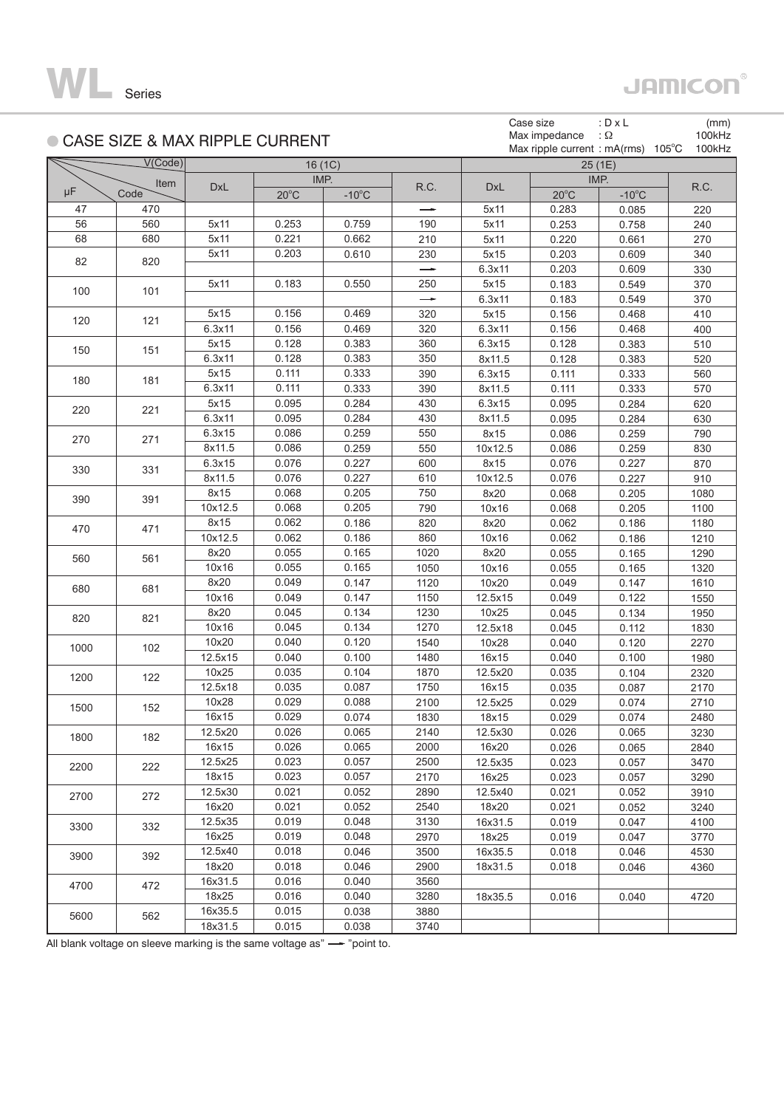

## **JAMICON®**

|      |                                  |            |                |                 |               |            | Case size                    | : $D \times L$  |                 | (mm)   |
|------|----------------------------------|------------|----------------|-----------------|---------------|------------|------------------------------|-----------------|-----------------|--------|
|      | ● CASE SIZE & MAX RIPPLE CURRENT |            |                |                 |               |            | Max impedance                | $\Omega$ :      |                 | 100kHz |
|      |                                  |            |                |                 |               |            | Max ripple current : mA(rms) |                 | $105^{\circ}$ C | 100kHz |
|      | V(Code)                          |            |                | 16(1C)          |               |            |                              | 25 (1E)         |                 |        |
|      | Item                             | <b>DxL</b> |                | IMP.            | R.C.          | <b>DxL</b> |                              | IMP.            |                 | R.C.   |
| μF   | Code                             |            | $20^{\circ}$ C | $-10^{\circ}$ C |               |            | $20^{\circ}$ C               | $-10^{\circ}$ C |                 |        |
| 47   | 470                              |            |                |                 |               | 5x11       | 0.283                        | 0.085           |                 | 220    |
| 56   | 560                              | 5x11       | 0.253          | 0.759           | 190           | 5x11       | 0.253                        | 0.758           |                 | 240    |
| 68   | 680                              | 5x11       | 0.221          | 0.662           | 210           | 5x11       | 0.220                        | 0.661           |                 | 270    |
| 82   | 820                              | 5x11       | 0.203          | 0.610           | 230           | 5x15       | 0.203                        | 0.609           |                 | 340    |
|      |                                  |            |                |                 | $\rightarrow$ | 6.3x11     | 0.203                        | 0.609           |                 | 330    |
| 100  | 101                              | 5x11       | 0.183          | 0.550           | 250           | 5x15       | 0.183                        | 0.549           |                 | 370    |
|      |                                  |            |                |                 | $\rightarrow$ | 6.3x11     | 0.183                        | 0.549           |                 | 370    |
| 120  | 121                              | 5x15       | 0.156          | 0.469           | 320           | 5x15       | 0.156                        | 0.468           |                 | 410    |
|      |                                  | 6.3x11     | 0.156          | 0.469           | 320           | 6.3x11     | 0.156                        | 0.468           |                 | 400    |
| 150  | 151                              | 5x15       | 0.128          | 0.383           | 360           | 6.3x15     | 0.128                        | 0.383           |                 | 510    |
|      |                                  | 6.3x11     | 0.128          | 0.383           | 350           | 8x11.5     | 0.128                        | 0.383           |                 | 520    |
| 180  | 181                              | 5x15       | 0.111          | 0.333           | 390           | 6.3x15     | 0.111                        | 0.333           |                 | 560    |
|      |                                  | 6.3x11     | 0.111          | 0.333           | 390           | 8x11.5     | 0.111                        | 0.333           |                 | 570    |
| 220  | 221                              | 5x15       | 0.095          | 0.284           | 430           | 6.3x15     | 0.095                        | 0.284           |                 | 620    |
|      |                                  | 6.3x11     | 0.095          | 0.284           | 430           | 8x11.5     | 0.095                        | 0.284           |                 | 630    |
| 270  | 271                              | 6.3x15     | 0.086          | 0.259           | 550           | 8x15       | 0.086                        | 0.259           |                 | 790    |
|      |                                  | 8x11.5     | 0.086          | 0.259           | 550           | 10x12.5    | 0.086                        | 0.259           |                 | 830    |
| 330  | 331                              | 6.3x15     | 0.076          | 0.227           | 600           | 8x15       | 0.076                        | 0.227           |                 | 870    |
|      |                                  | 8x11.5     | 0.076          | 0.227           | 610           | 10x12.5    | 0.076                        | 0.227           |                 | 910    |
| 390  | 391                              | 8x15       | 0.068          | 0.205           | 750           | 8x20       | 0.068                        | 0.205           |                 | 1080   |
|      |                                  | 10x12.5    | 0.068          | 0.205           | 790           | 10x16      | 0.068                        | 0.205           |                 | 1100   |
| 470  | 471                              | 8x15       | 0.062          | 0.186           | 820           | 8x20       | 0.062                        | 0.186           |                 | 1180   |
|      |                                  | 10x12.5    | 0.062          | 0.186           | 860           | 10x16      | 0.062                        | 0.186           |                 | 1210   |
| 560  | 561                              | 8x20       | 0.055          | 0.165           | 1020          | 8x20       | 0.055                        | 0.165           |                 | 1290   |
|      |                                  | 10x16      | 0.055          | 0.165           | 1050          | 10x16      | 0.055                        | 0.165           |                 | 1320   |
| 680  | 681                              | 8x20       | 0.049          | 0.147           | 1120          | 10x20      | 0.049                        | 0.147           |                 | 1610   |
|      |                                  | 10x16      | 0.049          | 0.147           | 1150          | 12.5x15    | 0.049                        | 0.122           |                 | 1550   |
| 820  | 821                              | 8x20       | 0.045          | 0.134           | 1230          | 10x25      | 0.045                        | 0.134           |                 | 1950   |
|      |                                  | 10x16      | 0.045          | 0.134           | 1270          | 12.5x18    | 0.045                        | 0.112           |                 | 1830   |
| 1000 | 102                              | 10x20      | 0.040          | 0.120           | 1540          | 10x28      | 0.040                        | 0.120           |                 | 2270   |
|      |                                  | 12.5x15    | 0.040          | 0.100           | 1480          | 16x15      | 0.040                        | 0.100           |                 | 1980   |
| 1200 | 122                              | 10x25      | 0.035          | 0.104           | 1870          | 12.5x20    | 0.035                        | 0.104           |                 | 2320   |
|      |                                  | 12.5x18    | 0.035          | 0.087           | 1750          | 16x15      | 0.035                        | 0.087           |                 | 2170   |
| 1500 | 152                              | 10x28      | 0.029          | 0.088           | 2100          | 12.5x25    | 0.029                        | 0.074           |                 | 2710   |
|      |                                  | 16x15      | 0.029          | 0.074           | 1830          | 18x15      | 0.029                        | 0.074           |                 | 2480   |
| 1800 | 182                              | 12.5x20    | 0.026          | 0.065           | 2140          | 12.5x30    | 0.026                        | 0.065           |                 | 3230   |
|      |                                  | 16x15      | 0.026          | 0.065           | 2000          | 16x20      | 0.026                        | 0.065           |                 | 2840   |
| 2200 | 222                              | 12.5x25    | 0.023          | 0.057           | 2500          | 12.5x35    | 0.023                        | 0.057           |                 | 3470   |
|      |                                  | 18x15      | 0.023          | 0.057           | 2170          | 16x25      | 0.023                        | 0.057           |                 | 3290   |
| 2700 | 272                              | 12.5x30    | 0.021          | 0.052           | 2890          | 12.5x40    | 0.021                        | 0.052           |                 | 3910   |
|      |                                  | 16x20      | 0.021          | 0.052           | 2540          | 18x20      | 0.021                        | 0.052           |                 | 3240   |
| 3300 | 332                              | 12.5x35    | 0.019          | 0.048           | 3130          | 16x31.5    | 0.019                        | 0.047           |                 | 4100   |
|      |                                  | 16x25      | 0.019          | 0.048           | 2970          | 18x25      | 0.019                        | 0.047           |                 | 3770   |
| 3900 | 392                              | 12.5x40    | 0.018          | 0.046           | 3500          | 16x35.5    | 0.018                        | 0.046           |                 | 4530   |
|      |                                  | 18x20      | 0.018          | 0.046           | 2900          | 18x31.5    | 0.018                        | 0.046           |                 | 4360   |
| 4700 | 472                              | 16x31.5    | 0.016          | 0.040           | 3560          |            |                              |                 |                 |        |
|      |                                  | 18x25      | 0.016          | 0.040           | 3280          | 18x35.5    | 0.016                        | 0.040           |                 | 4720   |
| 5600 | 562                              | 16x35.5    | 0.015          | 0.038           | 3880          |            |                              |                 |                 |        |
|      |                                  | 18x31.5    | 0.015          | 0.038           | 3740          |            |                              |                 |                 |        |

All blank voltage on sleeve marking is the same voltage as" $\rightarrow$ "point to.